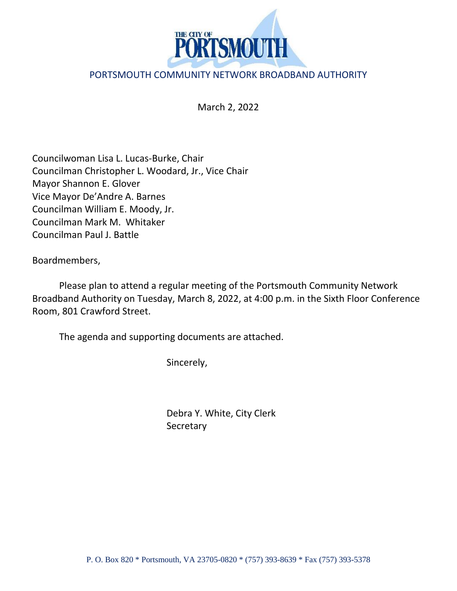

## PORTSMOUTH COMMUNITY NETWORK BROADBAND AUTHORITY

March 2, 2022

Councilwoman Lisa L. Lucas-Burke, Chair Councilman Christopher L. Woodard, Jr., Vice Chair Mayor Shannon E. Glover Vice Mayor De'Andre A. Barnes Councilman William E. Moody, Jr. Councilman Mark M. Whitaker Councilman Paul J. Battle

Boardmembers,

Please plan to attend a regular meeting of the Portsmouth Community Network Broadband Authority on Tuesday, March 8, 2022, at 4:00 p.m. in the Sixth Floor Conference Room, 801 Crawford Street.

The agenda and supporting documents are attached.

Sincerely,

Debra Y. White, City Clerk **Secretary**